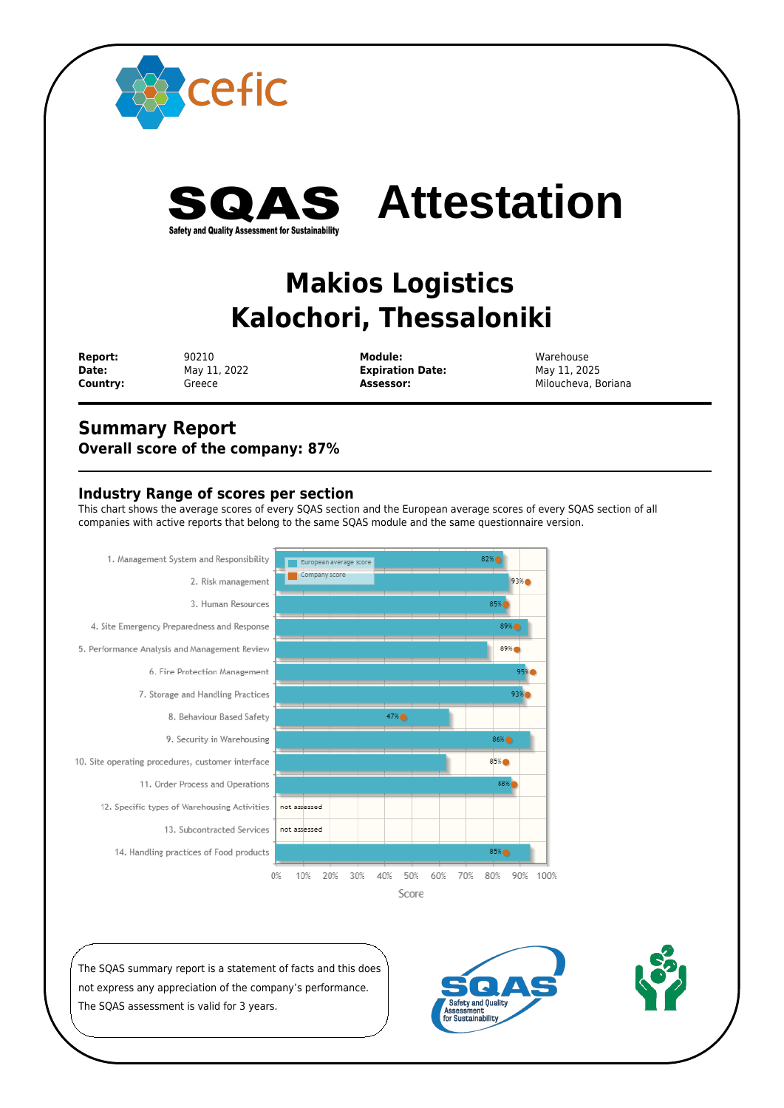

 **Report:** 90210 **Module:** Warehouse **Date:** May 11, 2022 **Expiration Date:** May 11, 2025

**Country:** Greece **Assessor:** Assessor: Miloucheva, Boriana

## **Summary Report Overall score of the company: 87%**

## **Industry Range of scores per section**

This chart shows the average scores of every SQAS section and the European average scores of every SQAS section of all companies with active reports that belong to the same SQAS module and the same questionnaire version.



The SQAS summary report is a statement of facts and this does not express any appreciation of the company's performance. The SQAS assessment is valid for 3 years.